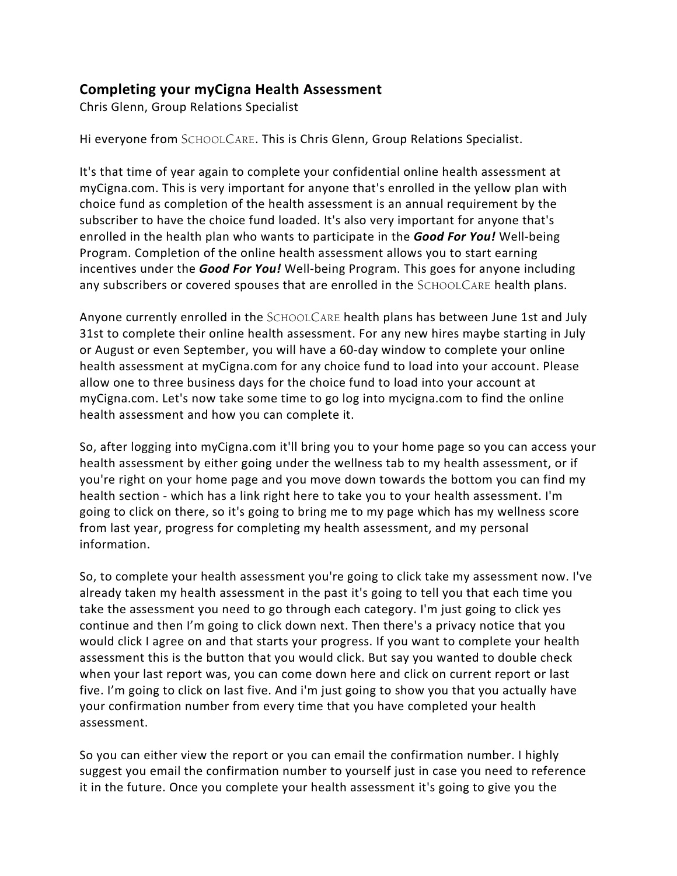## **Completing your myCigna Health Assessment**

Chris Glenn, Group Relations Specialist

Hi everyone from SCHOOLCARE. This is Chris Glenn, Group Relations Specialist.

It's that time of year again to complete your confidential online health assessment at myCigna.com. This is very important for anyone that's enrolled in the yellow plan with choice fund as completion of the health assessment is an annual requirement by the subscriber to have the choice fund loaded. It's also very important for anyone that's enrolled in the health plan who wants to participate in the *Good For You!* Well-being Program. Completion of the online health assessment allows you to start earning incentives under the *Good For You!* Well-being Program. This goes for anyone including any subscribers or covered spouses that are enrolled in the SCHOOLCARE health plans.

Anyone currently enrolled in the SCHOOLCARE health plans has between June 1st and July 31st to complete their online health assessment. For any new hires maybe starting in July or August or even September, you will have a 60-day window to complete your online health assessment at myCigna.com for any choice fund to load into your account. Please allow one to three business days for the choice fund to load into your account at myCigna.com. Let's now take some time to go log into mycigna.com to find the online health assessment and how you can complete it.

So, after logging into myCigna.com it'll bring you to your home page so you can access your health assessment by either going under the wellness tab to my health assessment, or if you're right on your home page and you move down towards the bottom you can find my health section - which has a link right here to take you to your health assessment. I'm going to click on there, so it's going to bring me to my page which has my wellness score from last year, progress for completing my health assessment, and my personal information.

So, to complete your health assessment you're going to click take my assessment now. I've already taken my health assessment in the past it's going to tell you that each time you take the assessment you need to go through each category. I'm just going to click yes continue and then I'm going to click down next. Then there's a privacy notice that you would click I agree on and that starts your progress. If you want to complete your health assessment this is the button that you would click. But say you wanted to double check when your last report was, you can come down here and click on current report or last five. I'm going to click on last five. And i'm just going to show you that you actually have your confirmation number from every time that you have completed your health assessment.

So you can either view the report or you can email the confirmation number. I highly suggest you email the confirmation number to yourself just in case you need to reference it in the future. Once you complete your health assessment it's going to give you the